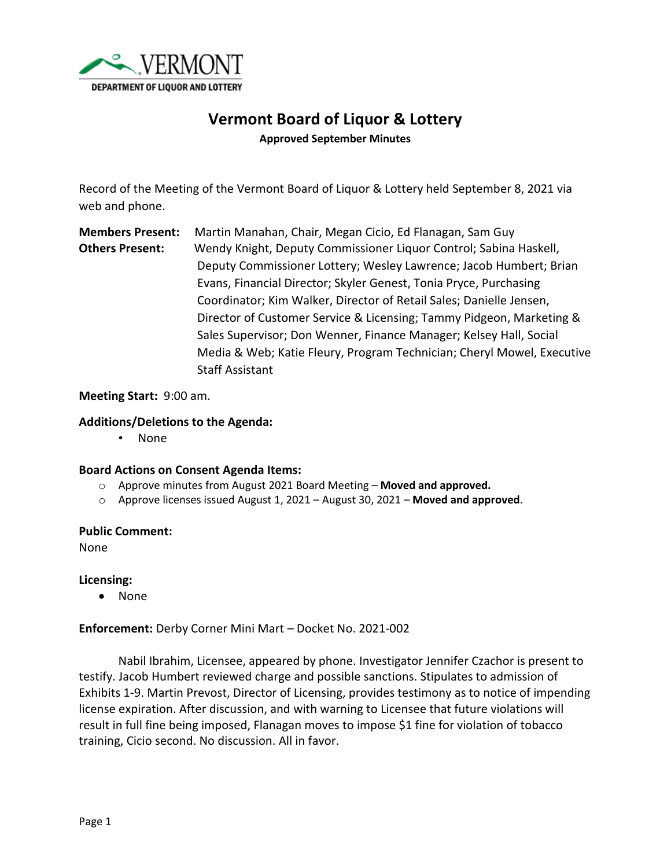

# **Vermont Board of Liquor & Lottery**

**Approved September Minutes**

Record of the Meeting of the Vermont Board of Liquor & Lottery held September 8, 2021 via web and phone.

**Members Present:** Martin Manahan, Chair, Megan Cicio, Ed Flanagan, Sam Guy **Others Present:** Wendy Knight, Deputy Commissioner Liquor Control; Sabina Haskell, Deputy Commissioner Lottery; Wesley Lawrence; Jacob Humbert; Brian Evans, Financial Director; Skyler Genest, Tonia Pryce, Purchasing Coordinator; Kim Walker, Director of Retail Sales; Danielle Jensen, Director of Customer Service & Licensing; Tammy Pidgeon, Marketing & Sales Supervisor; Don Wenner, Finance Manager; Kelsey Hall, Social Media & Web; Katie Fleury, Program Technician; Cheryl Mowel, Executive Staff Assistant

## **Meeting Start:** 9:00 am.

# **Additions/Deletions to the Agenda:**

• None

### **Board Actions on Consent Agenda Items:**

- o Approve minutes from August 2021 Board Meeting **Moved and approved.**
- o Approve licenses issued August 1, 2021 August 30, 2021 **Moved and approved**.

### **Public Comment:**

None

**Licensing:**

• None

**Enforcement:** Derby Corner Mini Mart – Docket No. 2021-002

Nabil Ibrahim, Licensee, appeared by phone. Investigator Jennifer Czachor is present to testify. Jacob Humbert reviewed charge and possible sanctions. Stipulates to admission of Exhibits 1-9. Martin Prevost, Director of Licensing, provides testimony as to notice of impending license expiration. After discussion, and with warning to Licensee that future violations will result in full fine being imposed, Flanagan moves to impose \$1 fine for violation of tobacco training, Cicio second. No discussion. All in favor.